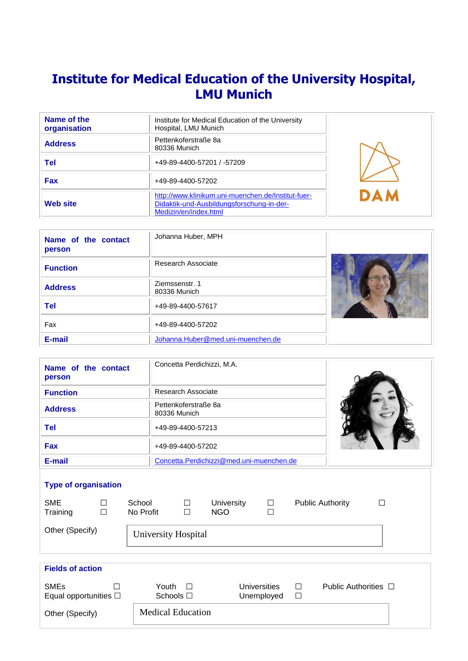# **Institute for Medical Education of the University Hospital, LMU Munich**

| Name of the<br>organisation | Institute for Medical Education of the University<br>Hospital, LMU Munich                                                |            |
|-----------------------------|--------------------------------------------------------------------------------------------------------------------------|------------|
| <b>Address</b>              | Pettenkoferstraße 8a<br>80336 Munich                                                                                     |            |
| Tel                         | +49-89-4400-57201 / -57209                                                                                               |            |
| <b>Fax</b>                  | +49-89-4400-57202                                                                                                        |            |
| <b>Web site</b>             | http://www.klinikum.uni-muenchen.de/Institut-fuer-<br>Didaktik-und-Ausbildungsforschung-in-der-<br>Medizin/en/index.html | <b>DAM</b> |

| Name of the contact<br>person | Johanna Huber, MPH                |  |
|-------------------------------|-----------------------------------|--|
| <b>Function</b>               | Research Associate                |  |
| <b>Address</b>                | Ziemssenstr. 1<br>80336 Munich    |  |
| <b>Tel</b>                    | +49-89-4400-57617                 |  |
| Fax                           | +49-89-4400-57202                 |  |
| E-mail                        | Johanna.Huber@med.uni-muenchen.de |  |

| Name of the contact<br>person | Concetta Perdichizzi, M.A.               |  |
|-------------------------------|------------------------------------------|--|
| <b>Function</b>               | Research Associate                       |  |
| <b>Address</b>                | Pettenkoferstraße 8a<br>80336 Munich     |  |
| <b>Tel</b>                    | +49-89-4400-57213                        |  |
| <b>Fax</b>                    | +49-89-4400-57202                        |  |
| E-mail                        | Concetta.Perdichizzi@med.uni-muenchen.de |  |

# **Type of organisation**

| <b>SME</b><br>Training                    | $\Box$<br>$\Box$ | School<br>No Profit            | $\Box$<br>$\Box$ | <b>University</b><br><b>NGO</b> | $\Box$<br>┓                |        | <b>Public Authority</b>   |  |
|-------------------------------------------|------------------|--------------------------------|------------------|---------------------------------|----------------------------|--------|---------------------------|--|
| Other (Specify)                           |                  | University Hospital            |                  |                                 |                            |        |                           |  |
|                                           |                  |                                |                  |                                 |                            |        |                           |  |
| <b>Fields of action</b>                   |                  |                                |                  |                                 |                            |        |                           |  |
| <b>SMEs</b><br>Equal opportunities $\Box$ | П                | Youth $\Box$<br>Schools $\Box$ |                  |                                 | Universities<br>Unemployed | П<br>□ | Public Authorities $\Box$ |  |
| Other (Specify)                           |                  | <b>Medical Education</b>       |                  |                                 |                            |        |                           |  |